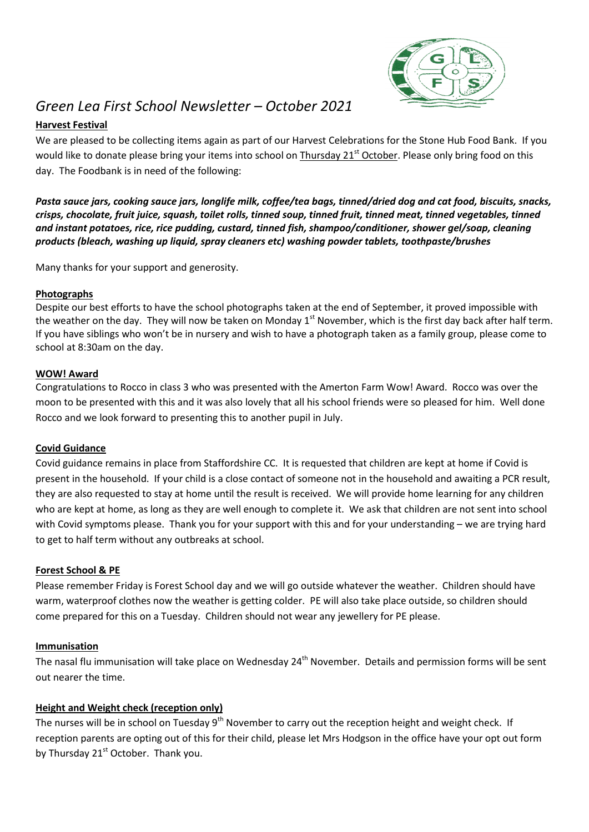

# *Green Lea First School Newsletter – October 2021*

## **Harvest Festival**

We are pleased to be collecting items again as part of our Harvest Celebrations for the Stone Hub Food Bank. If you would like to donate please bring your items into school on Thursday 21<sup>st</sup> October. Please only bring food on this day. The Foodbank is in need of the following:

*Pasta sauce jars, cooking sauce jars, longlife milk, coffee/tea bags, tinned/dried dog and cat food, biscuits, snacks, crisps, chocolate, fruit juice, squash, toilet rolls, tinned soup, tinned fruit, tinned meat, tinned vegetables, tinned and instant potatoes, rice, rice pudding, custard, tinned fish, shampoo/conditioner, shower gel/soap, cleaning products (bleach, washing up liquid, spray cleaners etc) washing powder tablets, toothpaste/brushes*

Many thanks for your support and generosity.

## **Photographs**

Despite our best efforts to have the school photographs taken at the end of September, it proved impossible with the weather on the day. They will now be taken on Monday  $1<sup>st</sup>$  November, which is the first day back after half term. If you have siblings who won't be in nursery and wish to have a photograph taken as a family group, please come to school at 8:30am on the day.

#### **WOW! Award**

Congratulations to Rocco in class 3 who was presented with the Amerton Farm Wow! Award. Rocco was over the moon to be presented with this and it was also lovely that all his school friends were so pleased for him. Well done Rocco and we look forward to presenting this to another pupil in July.

## **Covid Guidance**

Covid guidance remains in place from Staffordshire CC. It is requested that children are kept at home if Covid is present in the household. If your child is a close contact of someone not in the household and awaiting a PCR result, they are also requested to stay at home until the result is received. We will provide home learning for any children who are kept at home, as long as they are well enough to complete it. We ask that children are not sent into school with Covid symptoms please. Thank you for your support with this and for your understanding – we are trying hard to get to half term without any outbreaks at school.

## **Forest School & PE**

Please remember Friday is Forest School day and we will go outside whatever the weather. Children should have warm, waterproof clothes now the weather is getting colder. PE will also take place outside, so children should come prepared for this on a Tuesday. Children should not wear any jewellery for PE please.

## **Immunisation**

The nasal flu immunisation will take place on Wednesday 24<sup>th</sup> November. Details and permission forms will be sent out nearer the time.

## **Height and Weight check (reception only)**

The nurses will be in school on Tuesday 9<sup>th</sup> November to carry out the reception height and weight check. If reception parents are opting out of this for their child, please let Mrs Hodgson in the office have your opt out form by Thursday 21<sup>st</sup> October. Thank you.